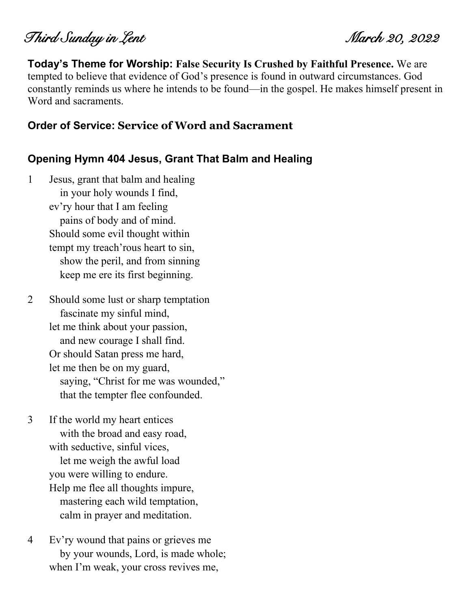Third Sunday in Lent March 20, 2022

**Today's Theme for Worship: False Security Is Crushed by Faithful Presence.** We are tempted to believe that evidence of God's presence is found in outward circumstances. God constantly reminds us where he intends to be found—in the gospel. He makes himself present in Word and sacraments.

#### **Order of Service: Service of Word and Sacrament**

#### **Opening Hymn 404 Jesus, Grant That Balm and Healing**

- 1 Jesus, grant that balm and healing in your holy wounds I find, ev'ry hour that I am feeling pains of body and of mind. Should some evil thought within tempt my treach'rous heart to sin, show the peril, and from sinning keep me ere its first beginning.
- 2 Should some lust or sharp temptation fascinate my sinful mind, let me think about your passion, and new courage I shall find. Or should Satan press me hard, let me then be on my guard, saying, "Christ for me was wounded," that the tempter flee confounded.
- 3 If the world my heart entices with the broad and easy road, with seductive, sinful vices, let me weigh the awful load you were willing to endure. Help me flee all thoughts impure, mastering each wild temptation, calm in prayer and meditation.
- 4 Ev'ry wound that pains or grieves me by your wounds, Lord, is made whole; when I'm weak, your cross revives me,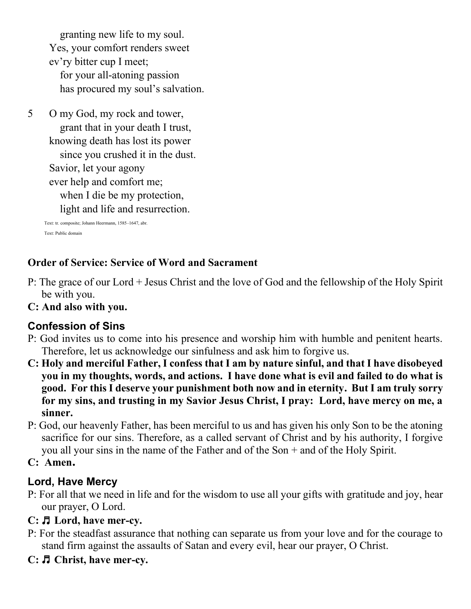granting new life to my soul. Yes, your comfort renders sweet ev'ry bitter cup I meet; for your all-atoning passion has procured my soul's salvation.

5 O my God, my rock and tower, grant that in your death I trust, knowing death has lost its power since you crushed it in the dust. Savior, let your agony ever help and comfort me; when I die be my protection, light and life and resurrection.

> Text: tr. composite; Johann Heermann, 1585–1647, abr. Text: Public domain

## **Order of Service: Service of Word and Sacrament**

- P: The grace of our Lord + Jesus Christ and the love of God and the fellowship of the Holy Spirit be with you.
- **C: And also with you.**

#### **Confession of Sins**

- P: God invites us to come into his presence and worship him with humble and penitent hearts. Therefore, let us acknowledge our sinfulness and ask him to forgive us.
- **C: Holy and merciful Father, I confess that I am by nature sinful, and that I have disobeyed you in my thoughts, words, and actions. I have done what is evil and failed to do what is good. For this I deserve your punishment both now and in eternity. But I am truly sorry for my sins, and trusting in my Savior Jesus Christ, I pray: Lord, have mercy on me, a sinner.**
- P: God, our heavenly Father, has been merciful to us and has given his only Son to be the atoning sacrifice for our sins. Therefore, as a called servant of Christ and by his authority, I forgive you all your sins in the name of the Father and of the Son + and of the Holy Spirit.

#### **C: Amen.**

#### **Lord, Have Mercy**

P: For all that we need in life and for the wisdom to use all your gifts with gratitude and joy, hear our prayer, O Lord.

#### **C:** ♬ **Lord, have mer-cy.**

- P: For the steadfast assurance that nothing can separate us from your love and for the courage to stand firm against the assaults of Satan and every evil, hear our prayer, O Christ.
- **C:** ♬ **Christ, have mer-cy.**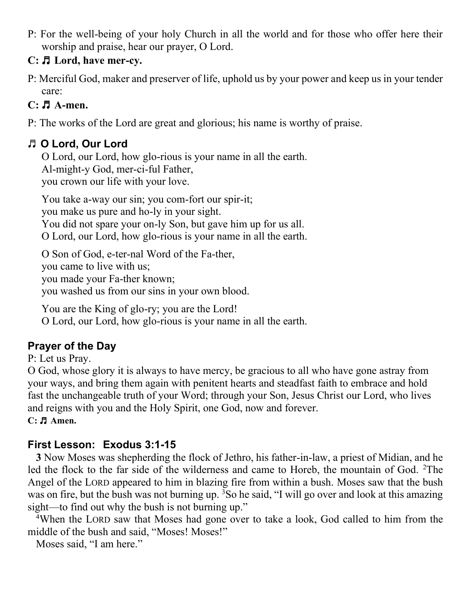P: For the well-being of your holy Church in all the world and for those who offer here their worship and praise, hear our prayer, O Lord.

## **C:** ♬ **Lord, have mer-cy.**

P: Merciful God, maker and preserver of life, uphold us by your power and keep us in your tender care:

## **C:** ♬ **A-men.**

P: The works of the Lord are great and glorious; his name is worthy of praise.

# ♬ **O Lord, Our Lord**

O Lord, our Lord, how glo-rious is your name in all the earth. Al-might-y God, mer-ci-ful Father, you crown our life with your love.

You take a-way our sin; you com-fort our spir-it; you make us pure and ho-ly in your sight. You did not spare your on-ly Son, but gave him up for us all. O Lord, our Lord, how glo-rious is your name in all the earth.

O Son of God, e-ter-nal Word of the Fa-ther, you came to live with us; you made your Fa-ther known; you washed us from our sins in your own blood.

You are the King of glo-ry; you are the Lord!

O Lord, our Lord, how glo-rious is your name in all the earth.

# **Prayer of the Day**

P: Let us Pray.

O God, whose glory it is always to have mercy, be gracious to all who have gone astray from your ways, and bring them again with penitent hearts and steadfast faith to embrace and hold fast the unchangeable truth of your Word; through your Son, Jesus Christ our Lord, who lives and reigns with you and the Holy Spirit, one God, now and forever. **C:** ♬ **Amen.**

## **First Lesson: Exodus 3:1-15**

**3** Now Moses was shepherding the flock of Jethro, his father-in-law, a priest of Midian, and he led the flock to the far side of the wilderness and came to Horeb, the mountain of God. <sup>2</sup>The Angel of the LORD appeared to him in blazing fire from within a bush. Moses saw that the bush was on fire, but the bush was not burning up. <sup>3</sup>So he said, "I will go over and look at this amazing sight—to find out why the bush is not burning up."

<sup>4</sup>When the LORD saw that Moses had gone over to take a look, God called to him from the middle of the bush and said, "Moses! Moses!"

Moses said, "I am here."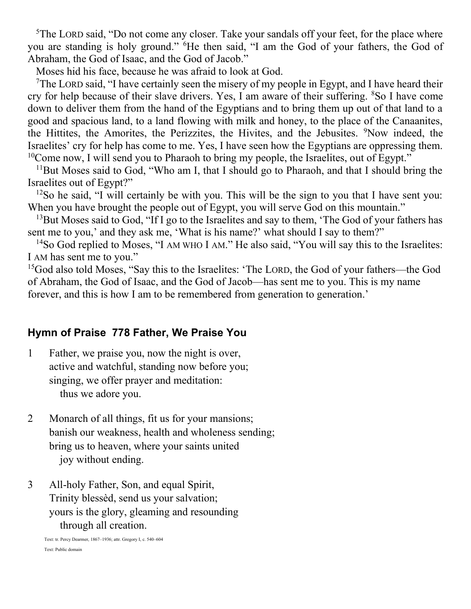$5$ The LORD said, "Do not come any closer. Take your sandals off your feet, for the place where you are standing is holy ground." <sup>6</sup>He then said, "I am the God of your fathers, the God of Abraham, the God of Isaac, and the God of Jacob."

Moses hid his face, because he was afraid to look at God.

<sup>7</sup>The LORD said, "I have certainly seen the misery of my people in Egypt, and I have heard their cry for help because of their slave drivers. Yes, I am aware of their suffering. <sup>8</sup>So I have come down to deliver them from the hand of the Egyptians and to bring them up out of that land to a good and spacious land, to a land flowing with milk and honey, to the place of the Canaanites, the Hittites, the Amorites, the Perizzites, the Hivites, and the Jebusites. <sup>9</sup>Now indeed, the Israelites' cry for help has come to me. Yes, I have seen how the Egyptians are oppressing them.  $10$ Come now, I will send you to Pharaoh to bring my people, the Israelites, out of Egypt."

<sup>11</sup>But Moses said to God, "Who am I, that I should go to Pharaoh, and that I should bring the Israelites out of Egypt?"

 $12$ So he said, "I will certainly be with you. This will be the sign to you that I have sent you: When you have brought the people out of Egypt, you will serve God on this mountain."

 $13$ But Moses said to God, "If I go to the Israelites and say to them, 'The God of your fathers has sent me to you,' and they ask me, 'What is his name?' what should I say to them?"

<sup>14</sup>So God replied to Moses, "I AM WHO I AM." He also said, "You will say this to the Israelites: I AM has sent me to you."

<sup>15</sup>God also told Moses, "Say this to the Israelites: 'The LORD, the God of your fathers—the God of Abraham, the God of Isaac, and the God of Jacob—has sent me to you. This is my name forever, and this is how I am to be remembered from generation to generation.'

### **Hymn of Praise 778 Father, We Praise You**

- 1 Father, we praise you, now the night is over, active and watchful, standing now before you; singing, we offer prayer and meditation: thus we adore you.
- 2 Monarch of all things, fit us for your mansions; banish our weakness, health and wholeness sending; bring us to heaven, where your saints united joy without ending.
- 3 All-holy Father, Son, and equal Spirit, Trinity blessèd, send us your salvation; yours is the glory, gleaming and resounding through all creation.

Text: tr. Percy Dearmer, 1867–1936; attr. Gregory I, c. 540–604 Text: Public domain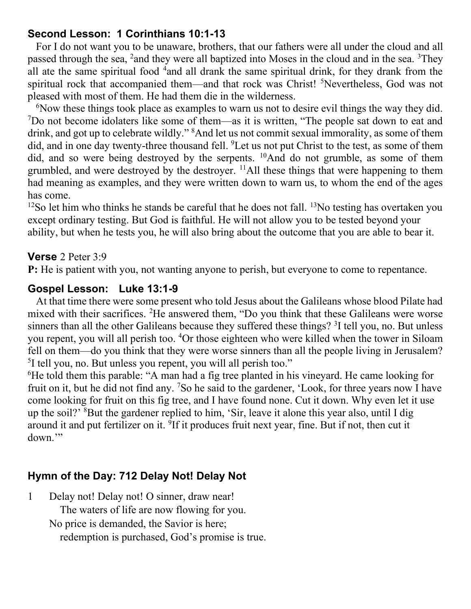### **Second Lesson: 1 Corinthians 10:1-13**

For I do not want you to be unaware, brothers, that our fathers were all under the cloud and all passed through the sea, <sup>2</sup> and they were all baptized into Moses in the cloud and in the sea. <sup>3</sup>They all ate the same spiritual food <sup>4</sup> and all drank the same spiritual drink, for they drank from the spiritual rock that accompanied them—and that rock was Christ! <sup>5</sup>Nevertheless, God was not pleased with most of them. He had them die in the wilderness.

<sup>6</sup>Now these things took place as examples to warn us not to desire evil things the way they did. <sup>7</sup>Do not become idolaters like some of them—as it is written, "The people sat down to eat and drink, and got up to celebrate wildly." <sup>8</sup>And let us not commit sexual immorality, as some of them did, and in one day twenty-three thousand fell. <sup>9</sup>Let us not put Christ to the test, as some of them did, and so were being destroyed by the serpents. <sup>10</sup>And do not grumble, as some of them grumbled, and were destroyed by the destroyer.  $^{11}$ All these things that were happening to them had meaning as examples, and they were written down to warn us, to whom the end of the ages has come.

 $12$ So let him who thinks he stands be careful that he does not fall.  $13$ No testing has overtaken you except ordinary testing. But God is faithful. He will not allow you to be tested beyond your ability, but when he tests you, he will also bring about the outcome that you are able to bear it.

#### **Verse** 2 Peter 3:9

**P:** He is patient with you, not wanting anyone to perish, but everyone to come to repentance.

### **Gospel Lesson: Luke 13:1-9**

At that time there were some present who told Jesus about the Galileans whose blood Pilate had mixed with their sacrifices. <sup>2</sup>He answered them, "Do you think that these Galileans were worse sinners than all the other Galileans because they suffered these things? <sup>3</sup>I tell you, no. But unless you repent, you will all perish too. <sup>4</sup>Or those eighteen who were killed when the tower in Siloam fell on them—do you think that they were worse sinners than all the people living in Jerusalem? <sup>5</sup>I tell you, no. But unless you repent, you will all perish too."

<sup>6</sup>He told them this parable: "A man had a fig tree planted in his vineyard. He came looking for fruit on it, but he did not find any. <sup>7</sup>So he said to the gardener, 'Look, for three years now I have come looking for fruit on this fig tree, and I have found none. Cut it down. Why even let it use up the soil?' <sup>8</sup>But the gardener replied to him, 'Sir, leave it alone this year also, until I dig around it and put fertilizer on it. <sup>9</sup>If it produces fruit next year, fine. But if not, then cut it down."

## **Hymn of the Day: 712 Delay Not! Delay Not**

1 Delay not! Delay not! O sinner, draw near! The waters of life are now flowing for you. No price is demanded, the Savior is here; redemption is purchased, God's promise is true.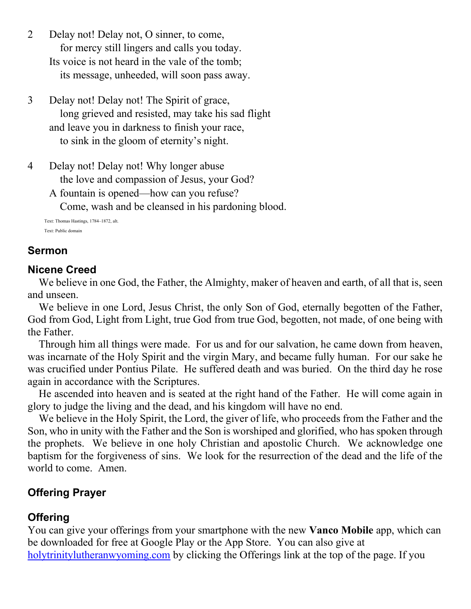- 2 Delay not! Delay not, O sinner, to come, for mercy still lingers and calls you today. Its voice is not heard in the vale of the tomb; its message, unheeded, will soon pass away.
- 3 Delay not! Delay not! The Spirit of grace, long grieved and resisted, may take his sad flight and leave you in darkness to finish your race, to sink in the gloom of eternity's night.
- 4 Delay not! Delay not! Why longer abuse the love and compassion of Jesus, your God? A fountain is opened—how can you refuse?

Come, wash and be cleansed in his pardoning blood.

Text: Thomas Hastings, 1784–1872, alt. Text: Public domain

## **Sermon**

#### **Nicene Creed**

We believe in one God, the Father, the Almighty, maker of heaven and earth, of all that is, seen and unseen.

We believe in one Lord, Jesus Christ, the only Son of God, eternally begotten of the Father, God from God, Light from Light, true God from true God, begotten, not made, of one being with the Father.

Through him all things were made. For us and for our salvation, he came down from heaven, was incarnate of the Holy Spirit and the virgin Mary, and became fully human. For our sake he was crucified under Pontius Pilate. He suffered death and was buried. On the third day he rose again in accordance with the Scriptures.

He ascended into heaven and is seated at the right hand of the Father. He will come again in glory to judge the living and the dead, and his kingdom will have no end.

We believe in the Holy Spirit, the Lord, the giver of life, who proceeds from the Father and the Son, who in unity with the Father and the Son is worshiped and glorified, who has spoken through the prophets. We believe in one holy Christian and apostolic Church. We acknowledge one baptism for the forgiveness of sins. We look for the resurrection of the dead and the life of the world to come. Amen.

## **Offering Prayer**

## **Offering**

You can give your offerings from your smartphone with the new **Vanco Mobile** app, which can be downloaded for free at Google Play or the App Store. You can also give at [holytrinitylutheranwyoming.com](http://holytrinitylutheranwyoming.com/) by clicking the Offerings link at the top of the page. If you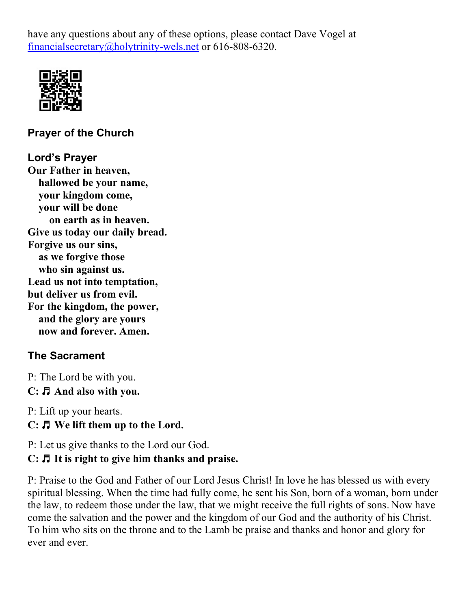have any questions about any of these options, please contact Dave Vogel at [financialsecretary@holytrinity-wels.net](mailto:financialsecretary@holytrinity-wels.net) or 616-808-6320.



**Prayer of the Church**

## **Lord's Prayer**

**Our Father in heaven, hallowed be your name, your kingdom come, your will be done on earth as in heaven. Give us today our daily bread. Forgive us our sins, as we forgive those who sin against us. Lead us not into temptation, but deliver us from evil. For the kingdom, the power, and the glory are yours now and forever. Amen.**

## **The Sacrament**

P: The Lord be with you. **C:** ♬ **And also with you.**

P: Lift up your hearts. **C:** ♬ **We lift them up to the Lord.**

P: Let us give thanks to the Lord our God.

## **C:** ♬ **It is right to give him thanks and praise.**

P: Praise to the God and Father of our Lord Jesus Christ! In love he has blessed us with every spiritual blessing. When the time had fully come, he sent his Son, born of a woman, born under the law, to redeem those under the law, that we might receive the full rights of sons. Now have come the salvation and the power and the kingdom of our God and the authority of his Christ. To him who sits on the throne and to the Lamb be praise and thanks and honor and glory for ever and ever.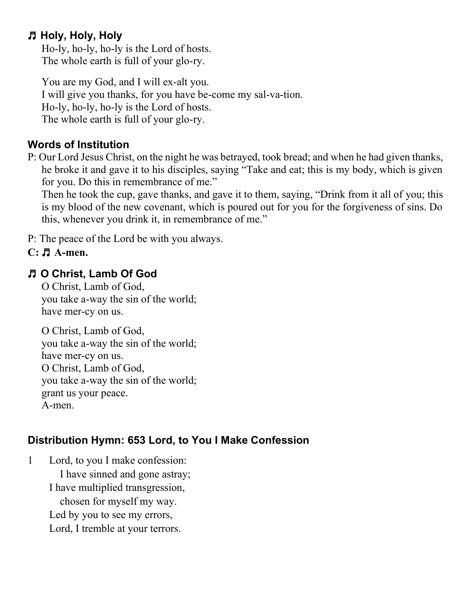## ♬ **Holy, Holy, Holy**

Ho-ly, ho-ly, ho-ly is the Lord of hosts. The whole earth is full of your glo-ry.

You are my God, and I will ex-alt you. I will give you thanks, for you have be-come my sal-va-tion. Ho-ly, ho-ly, ho-ly is the Lord of hosts. The whole earth is full of your glo-ry.

## **Words of Institution**

P: Our Lord Jesus Christ, on the night he was betrayed, took bread; and when he had given thanks, he broke it and gave it to his disciples, saying "Take and eat; this is my body, which is given for you. Do this in remembrance of me."

Then he took the cup, gave thanks, and gave it to them, saying, "Drink from it all of you; this is my blood of the new covenant, which is poured out for you for the forgiveness of sins. Do this, whenever you drink it, in remembrance of me."

P: The peace of the Lord be with you always.

## **C:** ♬ **A-men.**

## ♬ **O Christ, Lamb Of God**

O Christ, Lamb of God, you take a-way the sin of the world; have mer-cy on us.

O Christ, Lamb of God, you take a-way the sin of the world; have mer-cy on us. O Christ, Lamb of God, you take a-way the sin of the world; grant us your peace. A-men.

## **Distribution Hymn: 653 Lord, to You I Make Confession**

1 Lord, to you I make confession: I have sinned and gone astray; I have multiplied transgression, chosen for myself my way. Led by you to see my errors, Lord, I tremble at your terrors.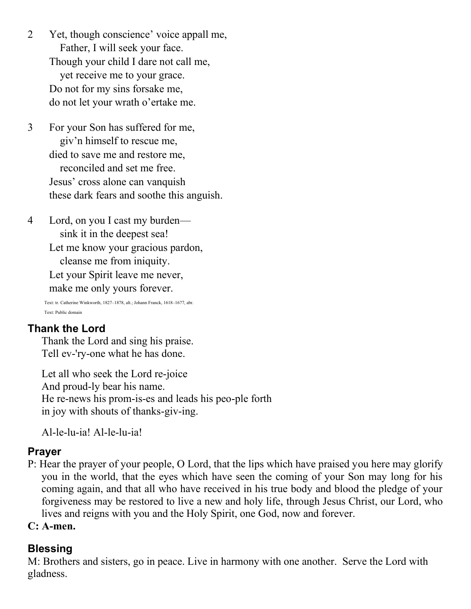- 2 Yet, though conscience' voice appall me, Father, I will seek your face. Though your child I dare not call me, yet receive me to your grace. Do not for my sins forsake me, do not let your wrath o'ertake me.
- 3 For your Son has suffered for me, giv'n himself to rescue me, died to save me and restore me, reconciled and set me free. Jesus' cross alone can vanquish these dark fears and soothe this anguish.
- 4 Lord, on you I cast my burden sink it in the deepest sea! Let me know your gracious pardon, cleanse me from iniquity. Let your Spirit leave me never, make me only yours forever.

Text: tr. Catherine Winkworth, 1827–1878, alt.; Johann Franck, 1618–1677, abr. Text: Public domain

## **Thank the Lord**

Thank the Lord and sing his praise. Tell ev-'ry-one what he has done.

Let all who seek the Lord re-joice And proud-ly bear his name. He re-news his prom-is-es and leads his peo-ple forth in joy with shouts of thanks-giv-ing.

Al-le-lu-ia! Al-le-lu-ia!

## **Prayer**

- P: Hear the prayer of your people, O Lord, that the lips which have praised you here may glorify you in the world, that the eyes which have seen the coming of your Son may long for his coming again, and that all who have received in his true body and blood the pledge of your forgiveness may be restored to live a new and holy life, through Jesus Christ, our Lord, who lives and reigns with you and the Holy Spirit, one God, now and forever.
- **C: A-men.**

## **Blessing**

M: Brothers and sisters, go in peace. Live in harmony with one another. Serve the Lord with gladness.